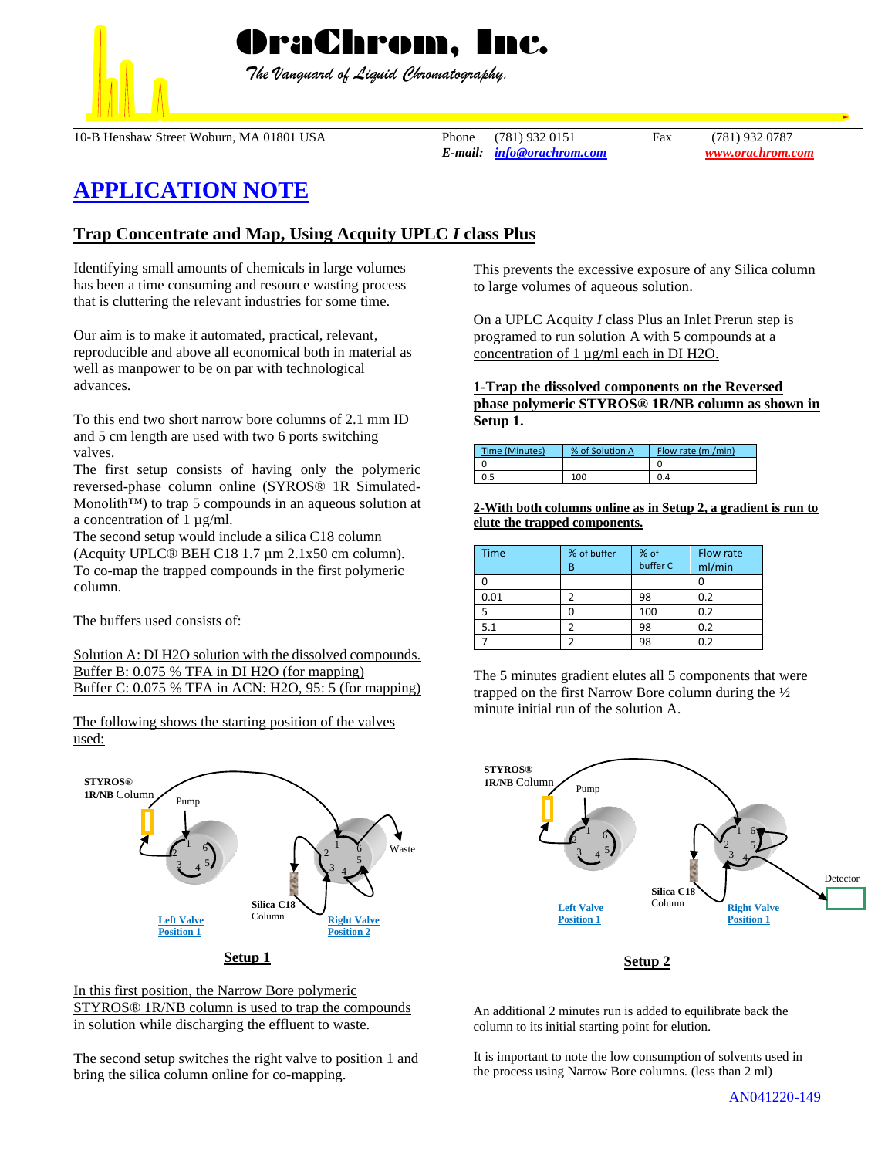## OraChrom, Inc.

 *The Vanguard of Liquid Chromatography.*

10-B Henshaw Street Woburn, MA 01801 USA Phone (781) 932 0151 Fax (781) 932 0787

*E-mail: [info@orachrom.com](mailto:info@orachrom.com) www.orachrom.com*

## **APPLICATION NOTE**

## **Trap Concentrate and Map, Using Acquity UPLC** *I* **class Plus**

Identifying small amounts of chemicals in large volumes has been a time consuming and resource wasting process that is cluttering the relevant industries for some time.

Our aim is to make it automated, practical, relevant, reproducible and above all economical both in material as well as manpower to be on par with technological advances.

To this end two short narrow bore columns of 2.1 mm ID and 5 cm length are used with two 6 ports switching valves.

The first setup consists of having only the polymeric reversed-phase column online (SYROS® 1R Simulated-Monolith<sup>™</sup>) to trap 5 compounds in an aqueous solution at a concentration of 1  $\mu$ g/ml.

The second setup would include a silica C18 column (Acquity UPLC® BEH C18 1.7 µm 2.1x50 cm column). To co-map the trapped compounds in the first polymeric column.

The buffers used consists of:

Solution A: DI H2O solution with the dissolved compounds. Buffer B: 0.075 % TFA in DI H2O (for mapping) Buffer C: 0.075 % TFA in ACN: H2O, 95: 5 (for mapping)

The following shows the starting position of the valves used:



In this first position, the Narrow Bore polymeric STYROS® 1R/NB column is used to trap the compounds in solution while discharging the effluent to waste.

The second setup switches the right valve to position 1 and bring the silica column online for co-mapping.

This prevents the excessive exposure of any Silica column to large volumes of aqueous solution.

On a UPLC Acquity *I* class Plus an Inlet Prerun step is programed to run solution A with 5 compounds at a concentration of 1 µg/ml each in DI H2O.

**1-Trap the dissolved components on the Reversed phase polymeric STYROS® 1R/NB column as shown in Setup 1.**

| Time (Minutes) | % of Solution A | Flow rate (ml/min) |
|----------------|-----------------|--------------------|
|                |                 |                    |
|                | 100             |                    |

**2-With both columns online as in Setup 2, a gradient is run to elute the trapped components.**

| <b>Time</b> | % of buffer | % of     | Flow rate |
|-------------|-------------|----------|-----------|
|             | B           | buffer C | ml/min    |
|             |             |          |           |
| 0.01        |             | 98       | 0.2       |
|             |             | 100      | 0.2       |
| 5.1         |             | 98       | 0.2       |
|             |             | 98       | 0.2       |



The 5 minutes gradient elutes all 5 components that were



**Setup 2**

An additional 2 minutes run is added to equilibrate back the column to its initial starting point for elution.

It is important to note the low consumption of solvents used in the process using Narrow Bore columns. (less than 2 ml)